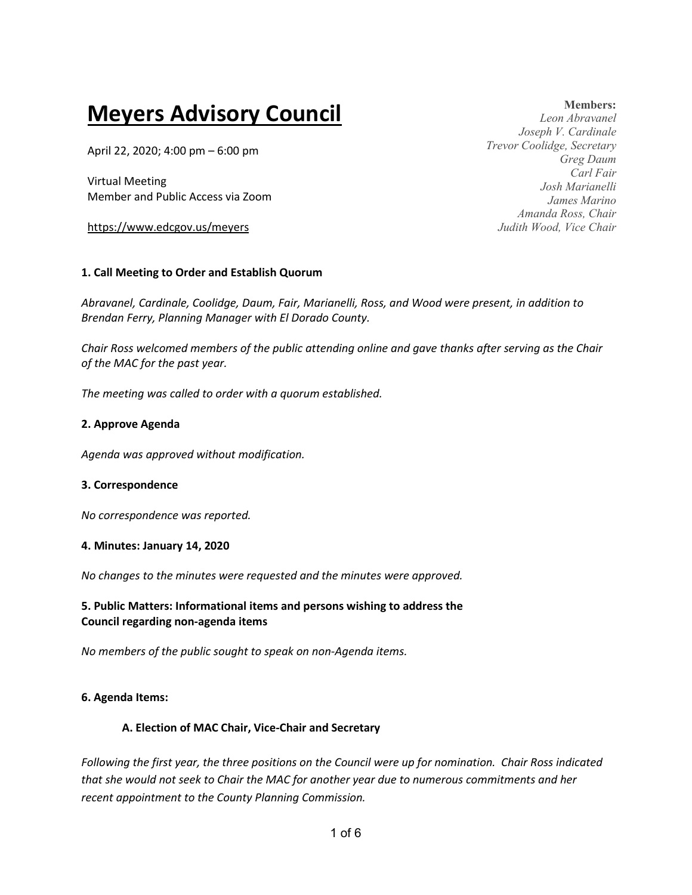# **Meyers Advisory Council**

April 22, 2020; 4:00 pm – 6:00 pm

Virtual Meeting Member and Public Access via Zoom

https://www.edcgov.us/meyers

## **1. Call Meeting to Order and Establish Quorum**

*Abravanel, Cardinale, Coolidge, Daum, Fair, Marianelli, Ross, and Wood were present, in addition to Brendan Ferry, Planning Manager with El Dorado County.* 

*Chair Ross welcomed members of the public attending online and gave thanks after serving as the Chair of the MAC for the past year.*

*The meeting was called to order with a quorum established.*

## **2. Approve Agenda**

*Agenda was approved without modification.*

## **3. Correspondence**

*No correspondence was reported.*

#### **4. Minutes: January 14, 2020**

*No changes to the minutes were requested and the minutes were approved.*

## **5. Public Matters: Informational items and persons wishing to address the Council regarding non-agenda items**

*No members of the public sought to speak on non-Agenda items.*

## **6. Agenda Items:**

## **A. Election of MAC Chair, Vice-Chair and Secretary**

*Following the first year, the three positions on the Council were up for nomination. Chair Ross indicated that she would not seek to Chair the MAC for another year due to numerous commitments and her recent appointment to the County Planning Commission.*

**Members:** *Leon Abravanel Joseph V. Cardinale Trevor Coolidge, Secretary Greg Daum Carl Fair Josh Marianelli James Marino Amanda Ross, Chair Judith Wood, Vice Chair*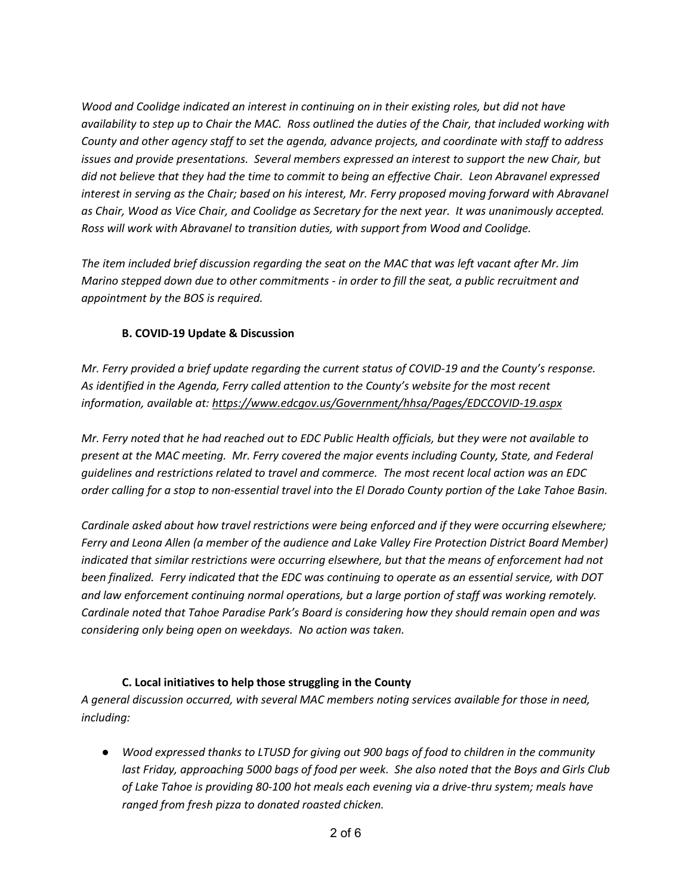*Wood and Coolidge indicated an interest in continuing on in their existing roles, but did not have availability to step up to Chair the MAC. Ross outlined the duties of the Chair, that included working with County and other agency staff to set the agenda, advance projects, and coordinate with staff to address issues and provide presentations. Several members expressed an interest to support the new Chair, but did not believe that they had the time to commit to being an effective Chair. Leon Abravanel expressed interest in serving as the Chair; based on his interest, Mr. Ferry proposed moving forward with Abravanel as Chair, Wood as Vice Chair, and Coolidge as Secretary for the next year. It was unanimously accepted. Ross will work with Abravanel to transition duties, with support from Wood and Coolidge.*

*The item included brief discussion regarding the seat on the MAC that was left vacant after Mr. Jim Marino stepped down due to other commitments - in order to fill the seat, a public recruitment and appointment by the BOS is required.*

## **B. COVID-19 Update & Discussion**

*Mr. Ferry provided a brief update regarding the current status of COVID-19 and the County's response. As identified in the Agenda, Ferry called attention to the County's website for the most recent information, available at: https://www.edcgov.us/Government/hhsa/Pages/EDCCOVID-19.aspx* 

*Mr. Ferry noted that he had reached out to EDC Public Health officials, but they were not available to present at the MAC meeting. Mr. Ferry covered the major events including County, State, and Federal guidelines and restrictions related to travel and commerce. The most recent local action was an EDC order calling for a stop to non-essential travel into the El Dorado County portion of the Lake Tahoe Basin.* 

*Cardinale asked about how travel restrictions were being enforced and if they were occurring elsewhere; Ferry and Leona Allen (a member of the audience and Lake Valley Fire Protection District Board Member) indicated that similar restrictions were occurring elsewhere, but that the means of enforcement had not been finalized. Ferry indicated that the EDC was continuing to operate as an essential service, with DOT and law enforcement continuing normal operations, but a large portion of staff was working remotely. Cardinale noted that Tahoe Paradise Park's Board is considering how they should remain open and was considering only being open on weekdays. No action was taken.*

## **C. Local initiatives to help those struggling in the County**

*A general discussion occurred, with several MAC members noting services available for those in need, including:*

● *Wood expressed thanks to LTUSD for giving out 900 bags of food to children in the community last Friday, approaching 5000 bags of food per week. She also noted that the Boys and Girls Club of Lake Tahoe is providing 80-100 hot meals each evening via a drive-thru system; meals have ranged from fresh pizza to donated roasted chicken.*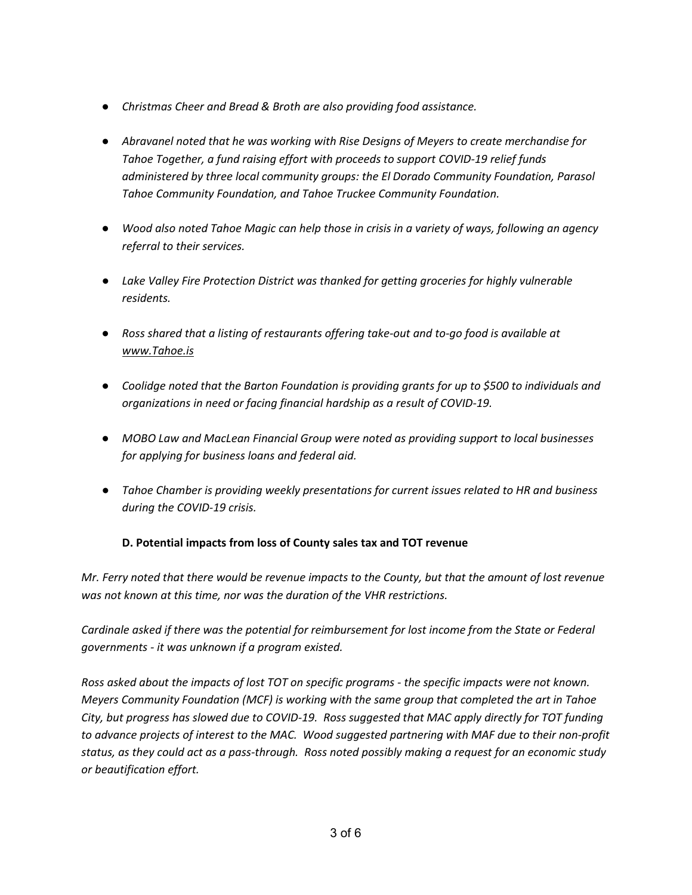- *Christmas Cheer and Bread & Broth are also providing food assistance.*
- *Abravanel noted that he was working with Rise Designs of Meyers to create merchandise for Tahoe Together, a fund raising effort with proceeds to support COVID-19 relief funds administered by three local community groups: the El Dorado Community Foundation, Parasol Tahoe Community Foundation, and Tahoe Truckee Community Foundation.*
- *Wood also noted Tahoe Magic can help those in crisis in a variety of ways, following an agency referral to their services.*
- *Lake Valley Fire Protection District was thanked for getting groceries for highly vulnerable residents.*
- *Ross shared that a listing of restaurants offering take-out and to-go food is available at www.Tahoe.is*
- *Coolidge noted that the Barton Foundation is providing grants for up to \$500 to individuals and organizations in need or facing financial hardship as a result of COVID-19.*
- *MOBO Law and MacLean Financial Group were noted as providing support to local businesses for applying for business loans and federal aid.*
- *Tahoe Chamber is providing weekly presentations for current issues related to HR and business during the COVID-19 crisis.*

# **D. Potential impacts from loss of County sales tax and TOT revenue**

*Mr. Ferry noted that there would be revenue impacts to the County, but that the amount of lost revenue was not known at this time, nor was the duration of the VHR restrictions.*

*Cardinale asked if there was the potential for reimbursement for lost income from the State or Federal governments - it was unknown if a program existed.*

*Ross asked about the impacts of lost TOT on specific programs - the specific impacts were not known. Meyers Community Foundation (MCF) is working with the same group that completed the art in Tahoe City, but progress has slowed due to COVID-19. Ross suggested that MAC apply directly for TOT funding to advance projects of interest to the MAC. Wood suggested partnering with MAF due to their non-profit status, as they could act as a pass-through. Ross noted possibly making a request for an economic study or beautification effort.*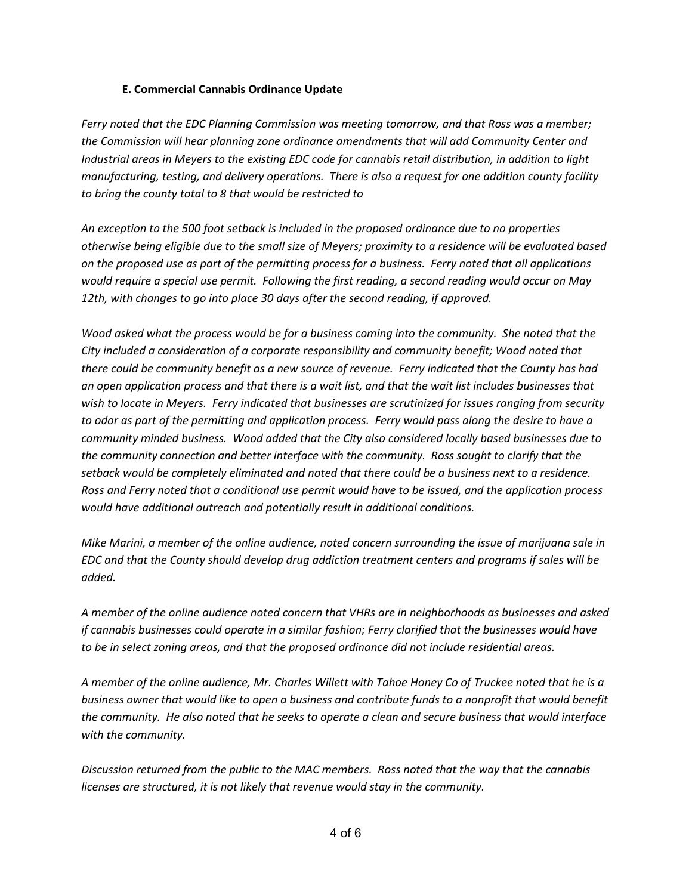## **E. Commercial Cannabis Ordinance Update**

*Ferry noted that the EDC Planning Commission was meeting tomorrow, and that Ross was a member; the Commission will hear planning zone ordinance amendments that will add Community Center and Industrial areas in Meyers to the existing EDC code for cannabis retail distribution, in addition to light manufacturing, testing, and delivery operations. There is also a request for one addition county facility to bring the county total to 8 that would be restricted to* 

*An exception to the 500 foot setback is included in the proposed ordinance due to no properties otherwise being eligible due to the small size of Meyers; proximity to a residence will be evaluated based on the proposed use as part of the permitting process for a business. Ferry noted that all applications would require a special use permit. Following the first reading, a second reading would occur on May 12th, with changes to go into place 30 days after the second reading, if approved.*

*Wood asked what the process would be for a business coming into the community. She noted that the City included a consideration of a corporate responsibility and community benefit; Wood noted that there could be community benefit as a new source of revenue. Ferry indicated that the County has had an open application process and that there is a wait list, and that the wait list includes businesses that wish to locate in Meyers. Ferry indicated that businesses are scrutinized for issues ranging from security to odor as part of the permitting and application process. Ferry would pass along the desire to have a community minded business. Wood added that the City also considered locally based businesses due to the community connection and better interface with the community. Ross sought to clarify that the setback would be completely eliminated and noted that there could be a business next to a residence. Ross and Ferry noted that a conditional use permit would have to be issued, and the application process would have additional outreach and potentially result in additional conditions.*

*Mike Marini, a member of the online audience, noted concern surrounding the issue of marijuana sale in EDC and that the County should develop drug addiction treatment centers and programs if sales will be added.* 

*A member of the online audience noted concern that VHRs are in neighborhoods as businesses and asked if cannabis businesses could operate in a similar fashion; Ferry clarified that the businesses would have to be in select zoning areas, and that the proposed ordinance did not include residential areas.*

*A member of the online audience, Mr. Charles Willett with Tahoe Honey Co of Truckee noted that he is a business owner that would like to open a business and contribute funds to a nonprofit that would benefit the community. He also noted that he seeks to operate a clean and secure business that would interface with the community.*

*Discussion returned from the public to the MAC members. Ross noted that the way that the cannabis licenses are structured, it is not likely that revenue would stay in the community.*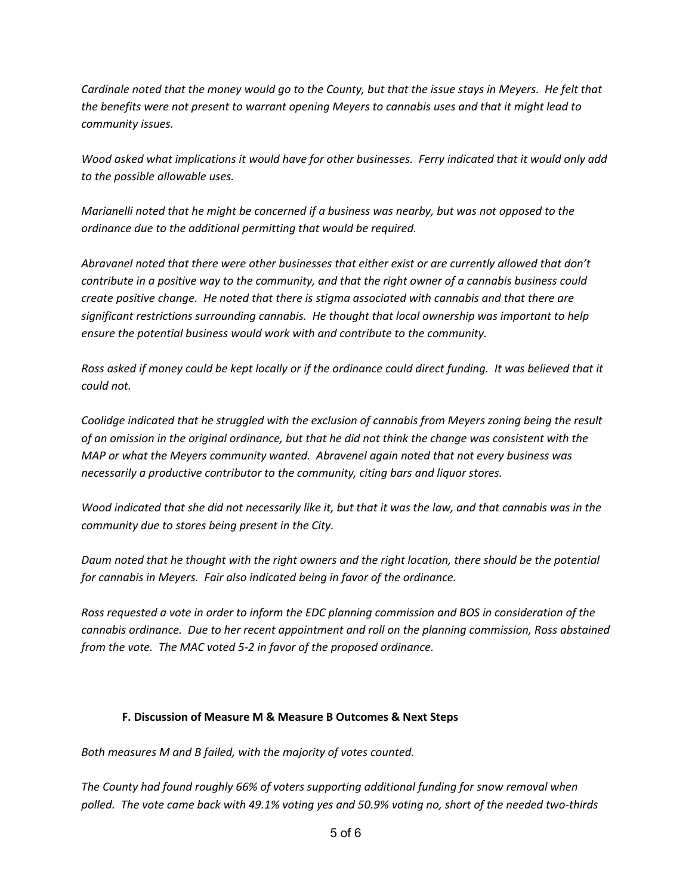*Cardinale noted that the money would go to the County, but that the issue stays in Meyers. He felt that the benefits were not present to warrant opening Meyers to cannabis uses and that it might lead to community issues.*

*Wood asked what implications it would have for other businesses. Ferry indicated that it would only add to the possible allowable uses.* 

*Marianelli noted that he might be concerned if a business was nearby, but was not opposed to the ordinance due to the additional permitting that would be required.*

*Abravanel noted that there were other businesses that either exist or are currently allowed that don't contribute in a positive way to the community, and that the right owner of a cannabis business could create positive change. He noted that there is stigma associated with cannabis and that there are significant restrictions surrounding cannabis. He thought that local ownership was important to help ensure the potential business would work with and contribute to the community.*

*Ross asked if money could be kept locally or if the ordinance could direct funding. It was believed that it could not.*

*Coolidge indicated that he struggled with the exclusion of cannabis from Meyers zoning being the result of an omission in the original ordinance, but that he did not think the change was consistent with the MAP or what the Meyers community wanted. Abravenel again noted that not every business was necessarily a productive contributor to the community, citing bars and liquor stores.*

*Wood indicated that she did not necessarily like it, but that it was the law, and that cannabis was in the community due to stores being present in the City.*

*Daum noted that he thought with the right owners and the right location, there should be the potential for cannabis in Meyers. Fair also indicated being in favor of the ordinance.*

*Ross requested a vote in order to inform the EDC planning commission and BOS in consideration of the cannabis ordinance. Due to her recent appointment and roll on the planning commission, Ross abstained from the vote. The MAC voted 5-2 in favor of the proposed ordinance.*

## **F. Discussion of Measure M & Measure B Outcomes & Next Steps**

*Both measures M and B failed, with the majority of votes counted.* 

*The County had found roughly 66% of voters supporting additional funding for snow removal when polled. The vote came back with 49.1% voting yes and 50.9% voting no, short of the needed two-thirds*